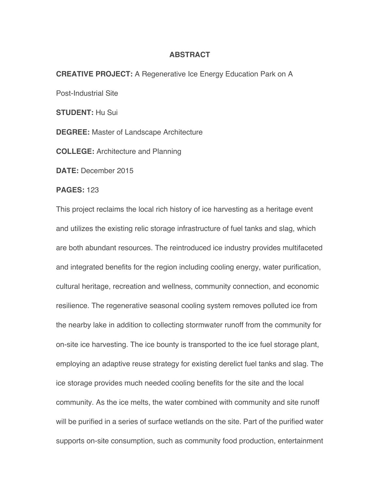## **ABSTRACT**

## **CREATIVE PROJECT:** A Regenerative Ice Energy Education Park on A

Post-Industrial Site

**STUDENT:** Hu Sui

**DEGREE:** Master of Landscape Architecture

**COLLEGE:** Architecture and Planning

**DATE:** December 2015

## **PAGES:** 123

This project reclaims the local rich history of ice harvesting as a heritage event and utilizes the existing relic storage infrastructure of fuel tanks and slag, which are both abundant resources. The reintroduced ice industry provides multifaceted and integrated benefits for the region including cooling energy, water purification, cultural heritage, recreation and wellness, community connection, and economic resilience. The regenerative seasonal cooling system removes polluted ice from the nearby lake in addition to collecting stormwater runoff from the community for on-site ice harvesting. The ice bounty is transported to the ice fuel storage plant, employing an adaptive reuse strategy for existing derelict fuel tanks and slag. The ice storage provides much needed cooling benefits for the site and the local community. As the ice melts, the water combined with community and site runoff will be purified in a series of surface wetlands on the site. Part of the purified water supports on-site consumption, such as community food production, entertainment